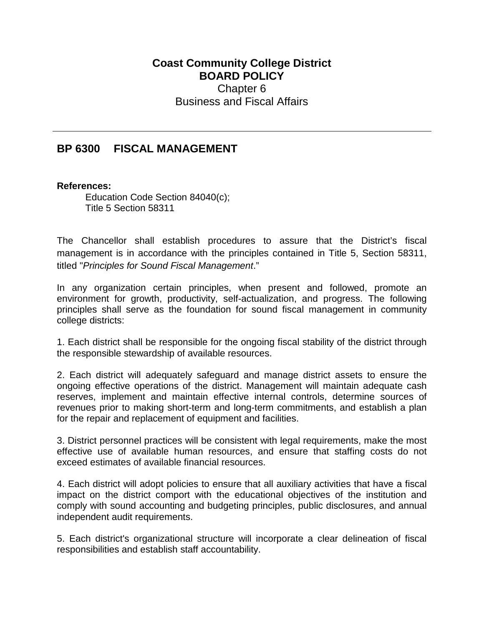## **Coast Community College District BOARD POLICY** Chapter 6 Business and Fiscal Affairs

## **BP 6300 FISCAL MANAGEMENT**

## **References:**

Education Code Section 84040(c); Title 5 Section 58311

The Chancellor shall establish procedures to assure that the District's fiscal management is in accordance with the principles contained in Title 5, Section 58311, titled "*Principles for Sound Fiscal Management*."

In any organization certain principles, when present and followed, promote an environment for growth, productivity, self-actualization, and progress. The following principles shall serve as the foundation for sound fiscal management in community college districts:

1. Each district shall be responsible for the ongoing fiscal stability of the district through the responsible stewardship of available resources.

2. Each district will adequately safeguard and manage district assets to ensure the ongoing effective operations of the district. Management will maintain adequate cash reserves, implement and maintain effective internal controls, determine sources of revenues prior to making short-term and long-term commitments, and establish a plan for the repair and replacement of equipment and facilities.

3. District personnel practices will be consistent with legal requirements, make the most effective use of available human resources, and ensure that staffing costs do not exceed estimates of available financial resources.

4. Each district will adopt policies to ensure that all auxiliary activities that have a fiscal impact on the district comport with the educational objectives of the institution and comply with sound accounting and budgeting principles, public disclosures, and annual independent audit requirements.

5. Each district's organizational structure will incorporate a clear delineation of fiscal responsibilities and establish staff accountability.